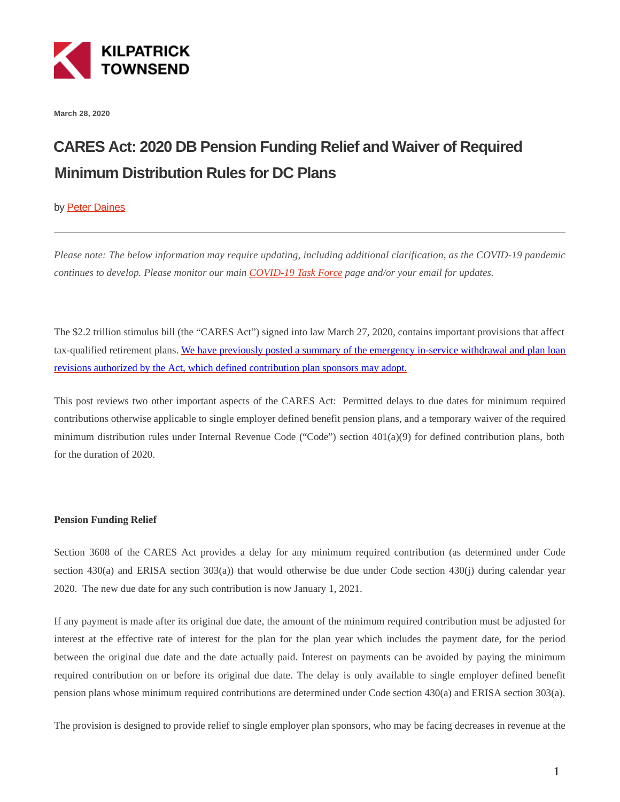

**March 28, 2020**

# **CARES Act: 2020 DB Pension Funding Relief and Waiver of Required Minimum Distribution Rules for DC Plans**

## by [Peter Daines](https://kilpatricktownsend.com/en/People/D/DainesPeter)

*Please note: The below information may require updating, including additional clarification, as the COVID-19 pandemic continues to develop. Please monitor our main [COVID-19 Task Force p](https://www.kilpatricktownsend.com/en/Insights/Alert/2020/3/Coronavirus-COVID-19-Task-Force)age and/or your email for updates.* 

The \$2.2 trillion stimulus bill (the "CARES Act") signed into law March 27, 2020, contains important provisions that affect tax-qualified retirement plans. [We have previously posted a summary of the emergency in-service withdrawal and plan loan](https://bit.ly/3bzkd9c) revisions authorized by the Act, which defined contribution plan sponsors may adopt.

This post reviews two other important aspects of the CARES Act: Permitted delays to due dates for minimum required contributions otherwise applicable to single employer defined benefit pension plans, and a temporary waiver of the required minimum distribution rules under Internal Revenue Code ("Code") section 401(a)(9) for defined contribution plans, both for the duration of 2020.

## **Pension Funding Relief**

Section 3608 of the CARES Act provides a delay for any minimum required contribution (as determined under Code section 430(a) and ERISA section 303(a)) that would otherwise be due under Code section 430(j) during calendar year 2020. The new due date for any such contribution is now January 1, 2021.

If any payment is made after its original due date, the amount of the minimum required contribution must be adjusted for interest at the effective rate of interest for the plan for the plan year which includes the payment date, for the period between the original due date and the date actually paid. Interest on payments can be avoided by paying the minimum required contribution on or before its original due date. The delay is only available to single employer defined benefit pension plans whose minimum required contributions are determined under Code section 430(a) and ERISA section 303(a).

The provision is designed to provide relief to single employer plan sponsors, who may be facing decreases in revenue at the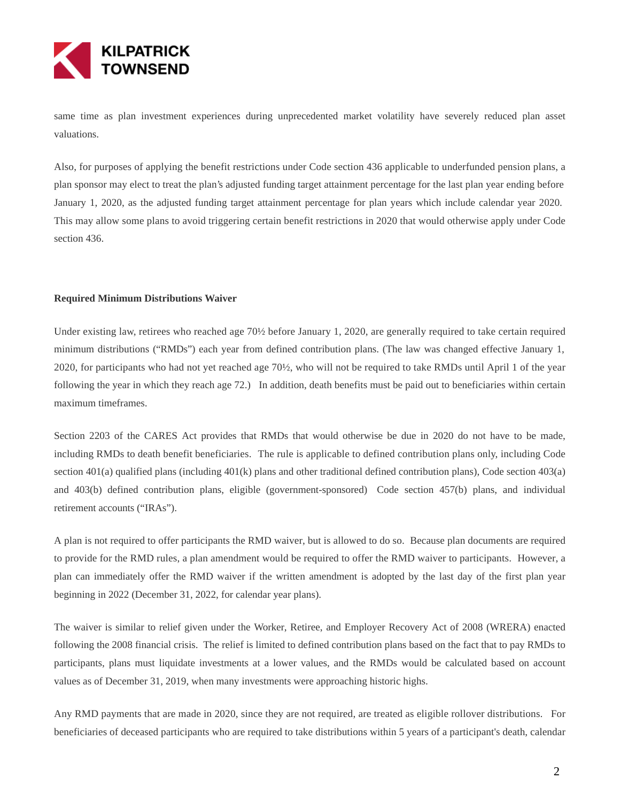

same time as plan investment experiences during unprecedented market volatility have severely reduced plan asset valuations.

Also, for purposes of applying the benefit restrictions under Code section 436 applicable to underfunded pension plans, a plan sponsor may elect to treat the plan's adjusted funding target attainment percentage for the last plan year ending before January 1, 2020, as the adjusted funding target attainment percentage for plan years which include calendar year 2020. This may allow some plans to avoid triggering certain benefit restrictions in 2020 that would otherwise apply under Code section 436.

### **Required Minimum Distributions Waiver**

Under existing law, retirees who reached age 70½ before January 1, 2020, are generally required to take certain required minimum distributions ("RMDs") each year from defined contribution plans. (The law was changed effective January 1, 2020, for participants who had not yet reached age 70½, who will not be required to take RMDs until April 1 of the year following the year in which they reach age 72.) In addition, death benefits must be paid out to beneficiaries within certain maximum timeframes.

Section 2203 of the CARES Act provides that RMDs that would otherwise be due in 2020 do not have to be made, including RMDs to death benefit beneficiaries. The rule is applicable to defined contribution plans only, including Code section 401(a) qualified plans (including 401(k) plans and other traditional defined contribution plans), Code section 403(a) and 403(b) defined contribution plans, eligible (government-sponsored) Code section 457(b) plans, and individual retirement accounts ("IRAs").

A plan is not required to offer participants the RMD waiver, but is allowed to do so. Because plan documents are required to provide for the RMD rules, a plan amendment would be required to offer the RMD waiver to participants. However, a plan can immediately offer the RMD waiver if the written amendment is adopted by the last day of the first plan year beginning in 2022 (December 31, 2022, for calendar year plans).

The waiver is similar to relief given under the Worker, Retiree, and Employer Recovery Act of 2008 (WRERA) enacted following the 2008 financial crisis. The relief is limited to defined contribution plans based on the fact that to pay RMDs to participants, plans must liquidate investments at a lower values, and the RMDs would be calculated based on account values as of December 31, 2019, when many investments were approaching historic highs.

Any RMD payments that are made in 2020, since they are not required, are treated as eligible rollover distributions. For beneficiaries of deceased participants who are required to take distributions within 5 years of a participant's death, calendar